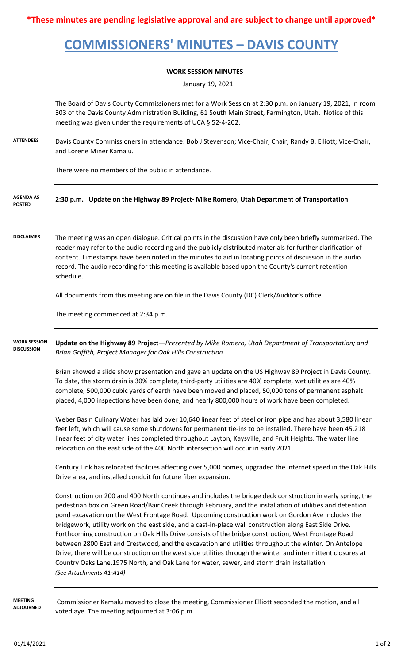**\*These minutes are pending legislative approval and are subject to change until approved\***

## **COMMISSIONERS' MINUTES – DAVIS COUNTY**

## **WORK SESSION MINUTES**

January 19, 2021

The Board of Davis County Commissioners met for a Work Session at 2:30 p.m. on January 19, 2021, in room 303 of the Davis County Administration Building, 61 South Main Street, Farmington, Utah. Notice of this meeting was given under the requirements of UCA § 52-4-202.

**ATTENDEES** Davis County Commissioners in attendance: Bob J Stevenson; Vice-Chair, Chair; Randy B. Elliott; Vice-Chair, and Lorene Miner Kamalu.

There were no members of the public in attendance.

- **2:30 p.m. Update on the Highway 89 Project- Mike Romero, Utah Department of Transportation AGENDA AS POSTED**
- **DISCLAIMER** The meeting was an open dialogue. Critical points in the discussion have only been briefly summarized. The reader may refer to the audio recording and the publicly distributed materials for further clarification of content. Timestamps have been noted in the minutes to aid in locating points of discussion in the audio record. The audio recording for this meeting is available based upon the County's current retention schedule.

All documents from this meeting are on file in the Davis County (DC) Clerk/Auditor's office.

The meeting commenced at 2:34 p.m.

**Update on the Highway 89 Project—***Presented by Mike Romero, Utah Department of Transportation; and Brian Griffith, Project Manager for Oak Hills Construction* **WORK SESSION DISCUSSION**

> Brian showed a slide show presentation and gave an update on the US Highway 89 Project in Davis County. To date, the storm drain is 30% complete, third-party utilities are 40% complete, wet utilities are 40% complete, 500,000 cubic yards of earth have been moved and placed, 50,000 tons of permanent asphalt placed, 4,000 inspections have been done, and nearly 800,000 hours of work have been completed.

> Weber Basin Culinary Water has laid over 10,640 linear feet of steel or iron pipe and has about 3,580 linear feet left, which will cause some shutdowns for permanent tie-ins to be installed. There have been 45,218 linear feet of city water lines completed throughout Layton, Kaysville, and Fruit Heights. The water line relocation on the east side of the 400 North intersection will occur in early 2021.

Century Link has relocated facilities affecting over 5,000 homes, upgraded the internet speed in the Oak Hills Drive area, and installed conduit for future fiber expansion.

Construction on 200 and 400 North continues and includes the bridge deck construction in early spring, the pedestrian box on Green Road/Bair Creek through February, and the installation of utilities and detention pond excavation on the West Frontage Road. Upcoming construction work on Gordon Ave includes the bridgework, utility work on the east side, and a cast-in-place wall construction along East Side Drive. Forthcoming construction on Oak Hills Drive consists of the bridge construction, West Frontage Road between 2800 East and Crestwood, and the excavation and utilities throughout the winter. On Antelope Drive, there will be construction on the west side utilities through the winter and intermittent closures at Country Oaks Lane,1975 North, and Oak Lane for water, sewer, and storm drain installation. *(See Attachments A1-A14)*

**MEETING ADJOURNED**

 Commissioner Kamalu moved to close the meeting, Commissioner Elliott seconded the motion, and all voted aye. The meeting adjourned at 3:06 p.m.